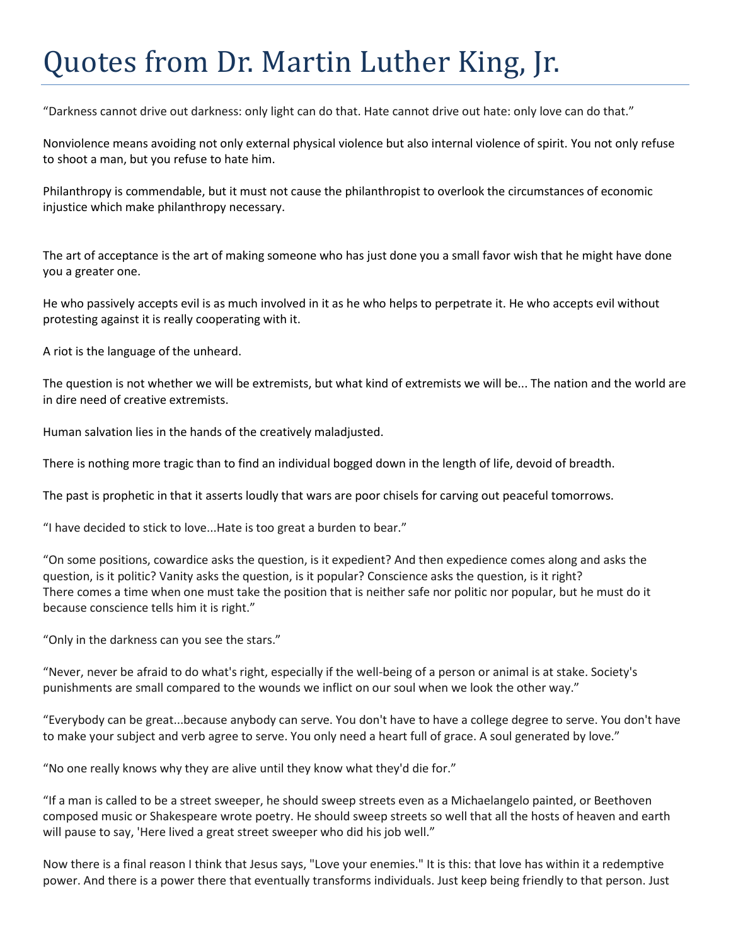## Quotes from Dr. Martin Luther King, Jr.

"Darkness cannot drive out darkness: only light can do that. Hate cannot drive out hate: only love can do that."

Nonviolence means avoiding not only external physical violence but also internal violence of spirit. You not only refuse to shoot a man, but you refuse to hate him.

Philanthropy is commendable, but it must not cause the philanthropist to overlook the circumstances of economic injustice which make philanthropy necessary.

The art of acceptance is the art of making someone who has just done you a small favor wish that he might have done you a greater one.

He who passively accepts evil is as much involved in it as he who helps to perpetrate it. He who accepts evil without protesting against it is really cooperating with it.

A riot is the language of the unheard.

The question is not whether we will be extremists, but what kind of extremists we will be... The nation and the world are in dire need of creative extremists.

Human salvation lies in the hands of the creatively maladjusted.

There is nothing more tragic than to find an individual bogged down in the length of life, devoid of breadth.

The past is prophetic in that it asserts loudly that wars are poor chisels for carving out peaceful tomorrows.

"I have decided to stick to love...Hate is too great a burden to bear."

"On some positions, cowardice asks the question, is it expedient? And then expedience comes along and asks the question, is it politic? Vanity asks the question, is it popular? Conscience asks the question, is it right? There comes a time when one must take the position that is neither safe nor politic nor popular, but he must do it because conscience tells him it is right."

"Only in the darkness can you see the stars."

"Never, never be afraid to do what's right, especially if the well-being of a person or animal is at stake. Society's punishments are small compared to the wounds we inflict on our soul when we look the other way."

"Everybody can be great...because anybody can serve. You don't have to have a college degree to serve. You don't have to make your subject and verb agree to serve. You only need a heart full of grace. A soul generated by love."

"No one really knows why they are alive until they know what they'd die for."

"If a man is called to be a street sweeper, he should sweep streets even as a Michaelangelo painted, or Beethoven composed music or Shakespeare wrote poetry. He should sweep streets so well that all the hosts of heaven and earth will pause to say, 'Here lived a great street sweeper who did his job well."

Now there is a final reason I think that Jesus says, "Love your enemies." It is this: that love has within it a redemptive power. And there is a power there that eventually transforms individuals. Just keep being friendly to that person. Just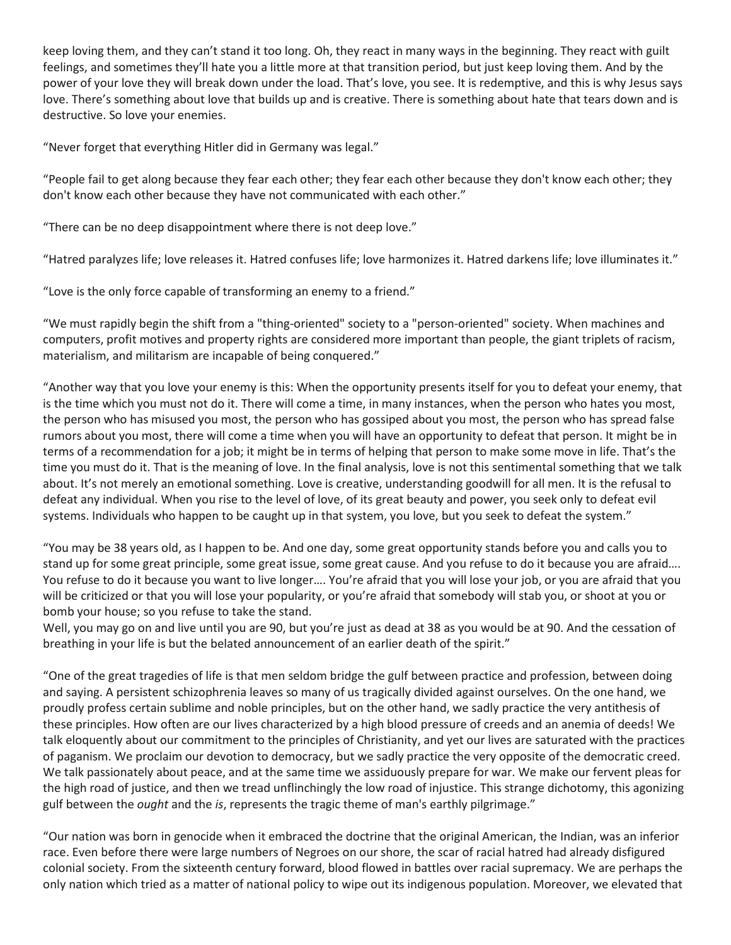keep loving them, and they can't stand it too long. Oh, they react in many ways in the beginning. They react with guilt feelings, and sometimes they'll hate you a little more at that transition period, but just keep loving them. And by the power of your love they will break down under the load. That's love, you see. It is redemptive, and this is why Jesus says love. There's something about love that builds up and is creative. There is something about hate that tears down and is destructive. So love your enemies.

"Never forget that everything Hitler did in Germany was legal."

"People fail to get along because they fear each other; they fear each other because they don't know each other; they don't know each other because they have not communicated with each other."

"There can be no deep disappointment where there is not deep love."

"Hatred paralyzes life; love releases it. Hatred confuses life; love harmonizes it. Hatred darkens life; love illuminates it."

"Love is the only force capable of transforming an enemy to a friend."

"We must rapidly begin the shift from a "thing-oriented" society to a "person-oriented" society. When machines and computers, profit motives and property rights are considered more important than people, the giant triplets of racism, materialism, and militarism are incapable of being conquered."

"Another way that you love your enemy is this: When the opportunity presents itself for you to defeat your enemy, that is the time which you must not do it. There will come a time, in many instances, when the person who hates you most, the person who has misused you most, the person who has gossiped about you most, the person who has spread false rumors about you most, there will come a time when you will have an opportunity to defeat that person. It might be in terms of a recommendation for a job; it might be in terms of helping that person to make some move in life. That's the time you must do it. That is the meaning of love. In the final analysis, love is not this sentimental something that we talk about. It's not merely an emotional something. Love is creative, understanding goodwill for all men. It is the refusal to defeat any individual. When you rise to the level of love, of its great beauty and power, you seek only to defeat evil systems. Individuals who happen to be caught up in that system, you love, but you seek to defeat the system."

"You may be 38 years old, as I happen to be. And one day, some great opportunity stands before you and calls you to stand up for some great principle, some great issue, some great cause. And you refuse to do it because you are afraid…. You refuse to do it because you want to live longer…. You're afraid that you will lose your job, or you are afraid that you will be criticized or that you will lose your popularity, or you're afraid that somebody will stab you, or shoot at you or bomb your house; so you refuse to take the stand.

Well, you may go on and live until you are 90, but you're just as dead at 38 as you would be at 90. And the cessation of breathing in your life is but the belated announcement of an earlier death of the spirit."

"One of the great tragedies of life is that men seldom bridge the gulf between practice and profession, between doing and saying. A persistent schizophrenia leaves so many of us tragically divided against ourselves. On the one hand, we proudly profess certain sublime and noble principles, but on the other hand, we sadly practice the very antithesis of these principles. How often are our lives characterized by a high blood pressure of creeds and an anemia of deeds! We talk eloquently about our commitment to the principles of Christianity, and yet our lives are saturated with the practices of paganism. We proclaim our devotion to democracy, but we sadly practice the very opposite of the democratic creed. We talk passionately about peace, and at the same time we assiduously prepare for war. We make our fervent pleas for the high road of justice, and then we tread unflinchingly the low road of injustice. This strange dichotomy, this agonizing gulf between the *ought* and the *is*, represents the tragic theme of man's earthly pilgrimage."

"Our nation was born in genocide when it embraced the doctrine that the original American, the Indian, was an inferior race. Even before there were large numbers of Negroes on our shore, the scar of racial hatred had already disfigured colonial society. From the sixteenth century forward, blood flowed in battles over racial supremacy. We are perhaps the only nation which tried as a matter of national policy to wipe out its indigenous population. Moreover, we elevated that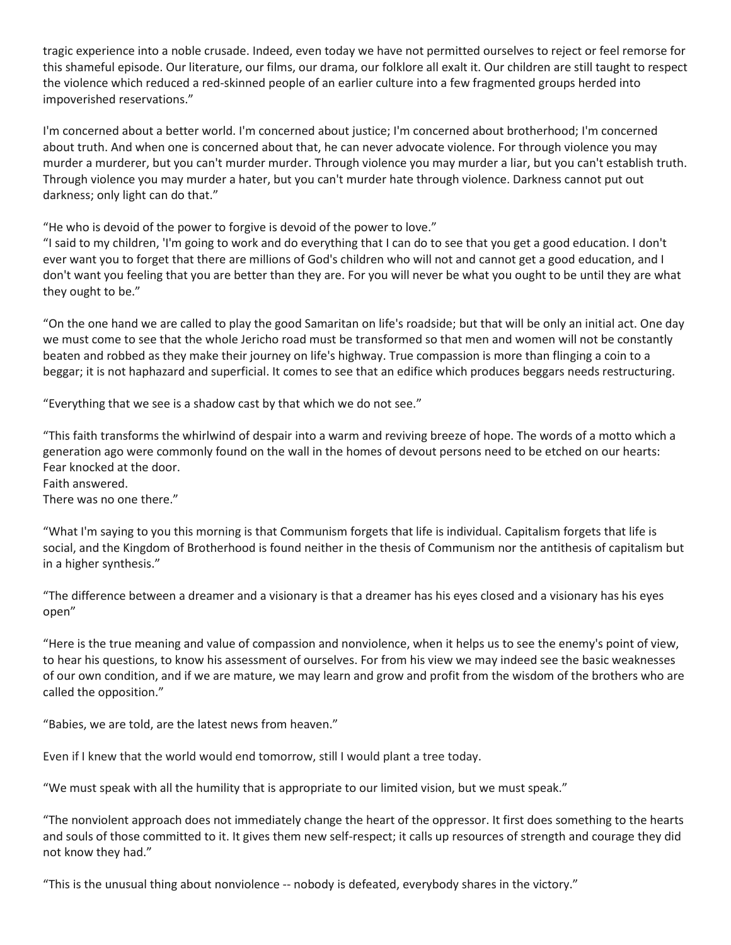tragic experience into a noble crusade. Indeed, even today we have not permitted ourselves to reject or feel remorse for this shameful episode. Our literature, our films, our drama, our folklore all exalt it. Our children are still taught to respect the violence which reduced a red-skinned people of an earlier culture into a few fragmented groups herded into impoverished reservations."

I'm concerned about a better world. I'm concerned about justice; I'm concerned about brotherhood; I'm concerned about truth. And when one is concerned about that, he can never advocate violence. For through violence you may murder a murderer, but you can't murder murder. Through violence you may murder a liar, but you can't establish truth. Through violence you may murder a hater, but you can't murder hate through violence. Darkness cannot put out darkness; only light can do that."

"He who is devoid of the power to forgive is devoid of the power to love."

"I said to my children, 'I'm going to work and do everything that I can do to see that you get a good education. I don't ever want you to forget that there are millions of God's children who will not and cannot get a good education, and I don't want you feeling that you are better than they are. For you will never be what you ought to be until they are what they ought to be."

"On the one hand we are called to play the good Samaritan on life's roadside; but that will be only an initial act. One day we must come to see that the whole Jericho road must be transformed so that men and women will not be constantly beaten and robbed as they make their journey on life's highway. True compassion is more than flinging a coin to a beggar; it is not haphazard and superficial. It comes to see that an edifice which produces beggars needs restructuring.

"Everything that we see is a shadow cast by that which we do not see."

"This faith transforms the whirlwind of despair into a warm and reviving breeze of hope. The words of a motto which a generation ago were commonly found on the wall in the homes of devout persons need to be etched on our hearts: Fear knocked at the door.

Faith answered.

There was no one there."

"What I'm saying to you this morning is that Communism forgets that life is individual. Capitalism forgets that life is social, and the Kingdom of Brotherhood is found neither in the thesis of Communism nor the antithesis of capitalism but in a higher synthesis."

"The difference between a dreamer and a visionary is that a dreamer has his eyes closed and a visionary has his eyes open"

"Here is the true meaning and value of compassion and nonviolence, when it helps us to see the enemy's point of view, to hear his questions, to know his assessment of ourselves. For from his view we may indeed see the basic weaknesses of our own condition, and if we are mature, we may learn and grow and profit from the wisdom of the brothers who are called the opposition."

"Babies, we are told, are the latest news from heaven."

Even if I knew that the world would end tomorrow, still I would plant a tree today.

"We must speak with all the humility that is appropriate to our limited vision, but we must speak."

"The nonviolent approach does not immediately change the heart of the oppressor. It first does something to the hearts and souls of those committed to it. It gives them new self-respect; it calls up resources of strength and courage they did not know they had."

"This is the unusual thing about nonviolence -- nobody is defeated, everybody shares in the victory."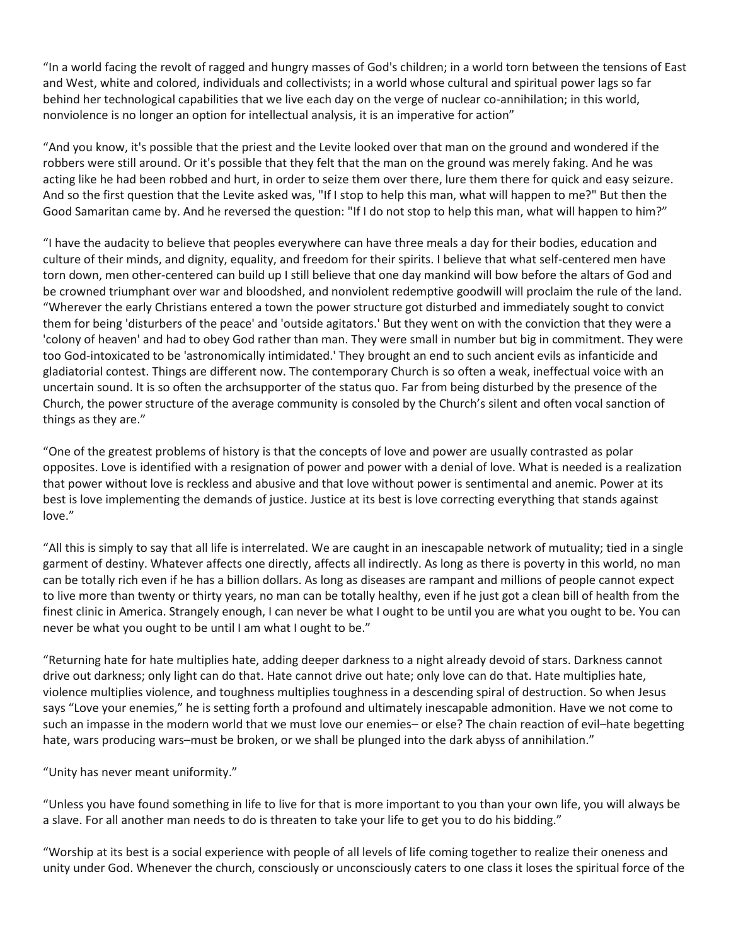"In a world facing the revolt of ragged and hungry masses of God's children; in a world torn between the tensions of East and West, white and colored, individuals and collectivists; in a world whose cultural and spiritual power lags so far behind her technological capabilities that we live each day on the verge of nuclear co-annihilation; in this world, nonviolence is no longer an option for intellectual analysis, it is an imperative for action"

"And you know, it's possible that the priest and the Levite looked over that man on the ground and wondered if the robbers were still around. Or it's possible that they felt that the man on the ground was merely faking. And he was acting like he had been robbed and hurt, in order to seize them over there, lure them there for quick and easy seizure. And so the first question that the Levite asked was, "If I stop to help this man, what will happen to me?" But then the Good Samaritan came by. And he reversed the question: "If I do not stop to help this man, what will happen to him?"

"I have the audacity to believe that peoples everywhere can have three meals a day for their bodies, education and culture of their minds, and dignity, equality, and freedom for their spirits. I believe that what self-centered men have torn down, men other-centered can build up I still believe that one day mankind will bow before the altars of God and be crowned triumphant over war and bloodshed, and nonviolent redemptive goodwill will proclaim the rule of the land. "Wherever the early Christians entered a town the power structure got disturbed and immediately sought to convict them for being 'disturbers of the peace' and 'outside agitators.' But they went on with the conviction that they were a 'colony of heaven' and had to obey God rather than man. They were small in number but big in commitment. They were too God-intoxicated to be 'astronomically intimidated.' They brought an end to such ancient evils as infanticide and gladiatorial contest. Things are different now. The contemporary Church is so often a weak, ineffectual voice with an uncertain sound. It is so often the archsupporter of the status quo. Far from being disturbed by the presence of the Church, the power structure of the average community is consoled by the Church's silent and often vocal sanction of things as they are."

"One of the greatest problems of history is that the concepts of love and power are usually contrasted as polar opposites. Love is identified with a resignation of power and power with a denial of love. What is needed is a realization that power without love is reckless and abusive and that love without power is sentimental and anemic. Power at its best is love implementing the demands of justice. Justice at its best is love correcting everything that stands against love."

"All this is simply to say that all life is interrelated. We are caught in an inescapable network of mutuality; tied in a single garment of destiny. Whatever affects one directly, affects all indirectly. As long as there is poverty in this world, no man can be totally rich even if he has a billion dollars. As long as diseases are rampant and millions of people cannot expect to live more than twenty or thirty years, no man can be totally healthy, even if he just got a clean bill of health from the finest clinic in America. Strangely enough, I can never be what I ought to be until you are what you ought to be. You can never be what you ought to be until I am what I ought to be."

"Returning hate for hate multiplies hate, adding deeper darkness to a night already devoid of stars. Darkness cannot drive out darkness; only light can do that. Hate cannot drive out hate; only love can do that. Hate multiplies hate, violence multiplies violence, and toughness multiplies toughness in a descending spiral of destruction. So when Jesus says "Love your enemies," he is setting forth a profound and ultimately inescapable admonition. Have we not come to such an impasse in the modern world that we must love our enemies– or else? The chain reaction of evil–hate begetting hate, wars producing wars–must be broken, or we shall be plunged into the dark abyss of annihilation."

"Unity has never meant uniformity."

"Unless you have found something in life to live for that is more important to you than your own life, you will always be a slave. For all another man needs to do is threaten to take your life to get you to do his bidding."

"Worship at its best is a social experience with people of all levels of life coming together to realize their oneness and unity under God. Whenever the church, consciously or unconsciously caters to one class it loses the spiritual force of the